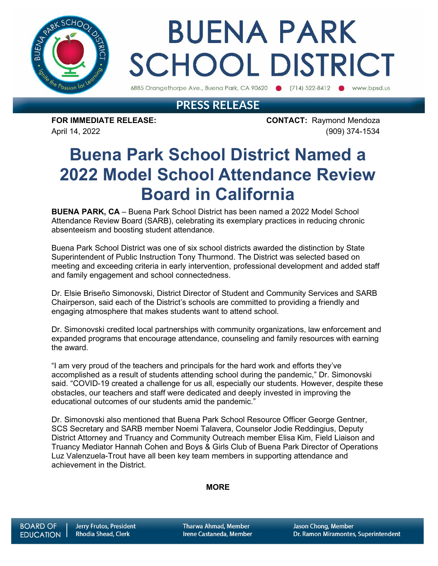

# **BUENA PARK SCHOOL DISTRICT**

6885 Orangethorpe Ave., Buena Park, CA 90620 (714) 522-8412 www.bpsd.us

### **PRESS RELEASE**

**FOR IMMEDIATE RELEASE: CONTACT:** Raymond Mendoza April 14, 2022 (909) 374-1534

### **Buena Park School District Named a 2022 Model School Attendance Review Board in California**

**BUENA PARK, CA** – Buena Park School District has been named a 2022 Model School Attendance Review Board (SARB), celebrating its exemplary practices in reducing chronic absenteeism and boosting student attendance.

Buena Park School District was one of six school districts awarded the distinction by State Superintendent of Public Instruction Tony Thurmond. The District was selected based on meeting and exceeding criteria in early intervention, professional development and added staff and family engagement and school connectedness.

Dr. Elsie Briseño Simonovski, District Director of Student and Community Services and SARB Chairperson, said each of the District's schools are committed to providing a friendly and engaging atmosphere that makes students want to attend school.

Dr. Simonovski credited local partnerships with community organizations, law enforcement and expanded programs that encourage attendance, counseling and family resources with earning the award.

"I am very proud of the teachers and principals for the hard work and efforts they've accomplished as a result of students attending school during the pandemic," Dr. Simonovski said. "COVID-19 created a challenge for us all, especially our students. However, despite these obstacles, our teachers and staff were dedicated and deeply invested in improving the educational outcomes of our students amid the pandemic."

Dr. Simonovski also mentioned that Buena Park School Resource Officer George Gentner, SCS Secretary and SARB member Noemi Talavera, Counselor Jodie Reddingius, Deputy District Attorney and Truancy and Community Outreach member Elisa Kim, Field Liaison and Truancy Mediator Hannah Cohen and Boys & Girls Club of Buena Park Director of Operations Luz Valenzuela-Trout have all been key team members in supporting attendance and achievement in the District.

#### **MORE**